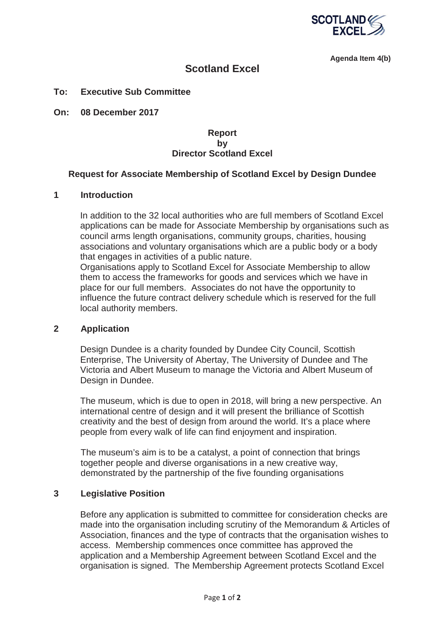

**Agenda Item 4(b)** 

# **Scotland Excel**

#### **To: Executive Sub Committee**

**On: 08 December 2017** 

### **Report by Director Scotland Excel**

#### **Request for Associate Membership of Scotland Excel by Design Dundee**

### **1 Introduction**

In addition to the 32 local authorities who are full members of Scotland Excel applications can be made for Associate Membership by organisations such as council arms length organisations, community groups, charities, housing associations and voluntary organisations which are a public body or a body that engages in activities of a public nature.

Organisations apply to Scotland Excel for Associate Membership to allow them to access the frameworks for goods and services which we have in place for our full members. Associates do not have the opportunity to influence the future contract delivery schedule which is reserved for the full local authority members.

#### **2 Application**

Design Dundee is a charity founded by Dundee City Council, Scottish Enterprise, The University of Abertay, The University of Dundee and The Victoria and Albert Museum to manage the Victoria and Albert Museum of Design in Dundee.

The museum, which is due to open in 2018, will bring a new perspective. An international centre of design and it will present the brilliance of Scottish creativity and the best of design from around the world. It's a place where people from every walk of life can find enjoyment and inspiration.

The museum's aim is to be a catalyst, a point of connection that brings together people and diverse organisations in a new creative way, demonstrated by the partnership of the five founding organisations

#### **3 Legislative Position**

Before any application is submitted to committee for consideration checks are made into the organisation including scrutiny of the Memorandum & Articles of Association, finances and the type of contracts that the organisation wishes to access. Membership commences once committee has approved the application and a Membership Agreement between Scotland Excel and the organisation is signed. The Membership Agreement protects Scotland Excel